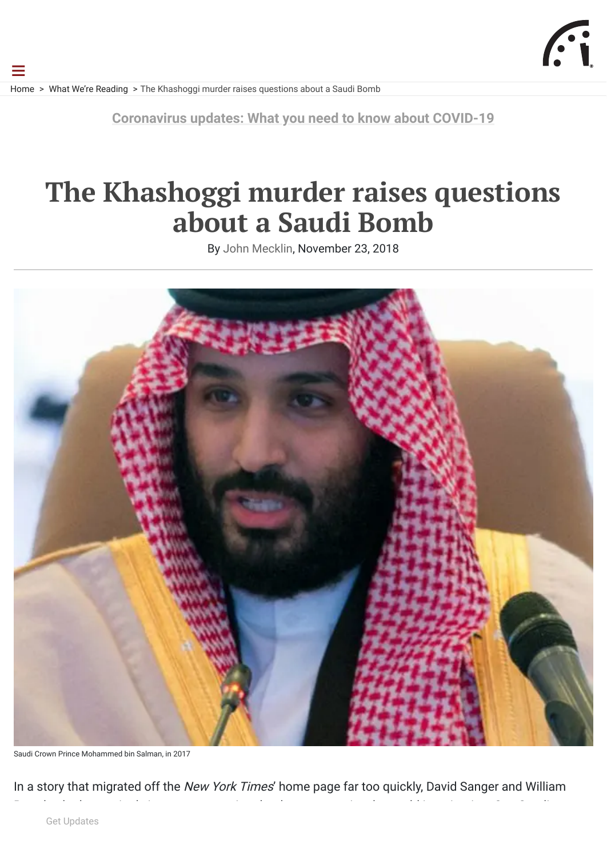[Home](https://thebulletin.org/) > [What We're Reading](https://thebulletin.org/what-were-reading/) > The Khashoggi murder raises questions about a Saudi Bomb

☰

**[Coronavirus updates: What you need to know about COVID-19](https://thebulletin.org/tag/coronavirus/?utm_source=Website&utm_medium=webbanner&utm_campaign=coronavirus)**

# **The Khashoggi murder raises questions about a Saudi Bomb**

By [John Mecklin](https://thebulletin.org/biography/john-mecklin/), November 23, 2018



Saudi Crown Prince Mohammed bin Salman, in 2017

In a story that migrated off the New York Times' home page far too quickly, David Sanger and William

[Arabian leaders be trusted with the means to create nuclear weapons? The](https://www.nytimes.com/2018/11/22/world/middleeast/saudi-arabia-nuclear.html) Times article, "Saudis Want a Get Updates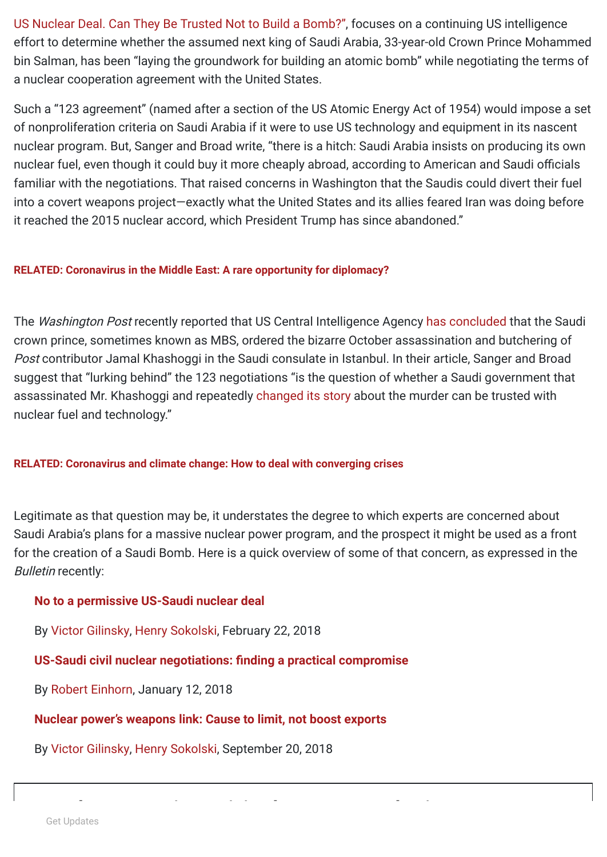[US Nuclear Deal. Can They Be Trusted Not to Build a Bomb?", focuses on a continuing US intelligence](https://www.nytimes.com/2018/11/22/world/middleeast/saudi-arabia-nuclear.html) effort to determine whether the assumed next king of Saudi Arabia, 33-year-old Crown Prince Mohammed bin Salman, has been "laying the groundwork for building an atomic bomb" while negotiating the terms of a nuclear cooperation agreement with the United States.

Such a "123 agreement" (named after a section of the US Atomic Energy Act of 1954) would impose a set of nonproliferation criteria on Saudi Arabia if it were to use US technology and equipment in its nascent nuclear program. But, Sanger and Broad write, "there is a hitch: Saudi Arabia insists on producing its own nuclear fuel, even though it could buy it more cheaply abroad, according to American and Saudi officials familiar with the negotiations. That raised concerns in Washington that the Saudis could divert their fuel into a covert weapons project—exactly what the United States and its allies feared Iran was doing before it reached the 2015 nuclear accord, which President Trump has since abandoned."

### **[RELATED: Coronavirus in the Middle East: A rare opportunity for diplomacy?](https://thebulletin.org/2020/04/coronavirus-in-the-middle-east-a-rare-opportunity-for-diplomacy/)**

The Washington Post recently reported that US Central Intelligence Agency [has concluded](https://www.washingtonpost.com/world/national-security/cia-concludes-saudi-crown-prince-ordered-jamal-khashoggis-assassination/2018/11/16/98c89fe6-e9b2-11e8-a939-9469f1166f9d_story.html?utm_term=.caa56b1c4b67) that the Saudi crown prince, sometimes known as MBS, ordered the bizarre October assassination and butchering of Post contributor Jamal Khashoggi in the Saudi consulate in Istanbul. In their article, Sanger and Broad suggest that "lurking behind" the 123 negotiations "is the question of whether a Saudi government that assassinated Mr. Khashoggi and repeatedly [changed its story](https://www.nytimes.com/2018/11/15/world/middleeast/saudi-arabia-khashoggi-death-penalty.html?module=inline) about the murder can be trusted with nuclear fuel and technology."

### **[RELATED: Coronavirus and climate change: How to deal with converging crises](https://thebulletin.org/2020/07/coronavirus-and-climate-change-how-to-deal-with-converging-crises/)**

Legitimate as that question may be, it understates the degree to which experts are concerned about Saudi Arabia's plans for a massive nuclear power program, and the prospect it might be used as a front for the creation of a Saudi Bomb. Here is a quick overview of some of that concern, as expressed in the Bulletin recently:

### **[No to a permissive US-Saudi nuclear deal](https://thebulletin.org/2018/02/no-to-a-permissive-us-saudi-nuclear-deal/)**

By [Victor Gilinsky](https://thebulletin.org/biography/victor-gilinsky-2/), [Henry Sokolski,](https://thebulletin.org/biography/henry-sokolski-3/) February 22, 2018

# **US-Saudi civil nuclear negotiations: finding a practical compromise**

By [Robert Einhorn](https://thebulletin.org/biography/robert-einhorn/), January 12, 2018

# **[Nuclear power's weapons link: Cause to limit, not boost exports](https://thebulletin.org/2018/09/nuclear-powers-weapons-link-cause-to-limit-not-boost-exports/)**

By [Victor Gilinsky](https://thebulletin.org/biography/victor-gilinsky-2/), [Henry Sokolski,](https://thebulletin.org/biography/henry-sokolski/) September 20, 2018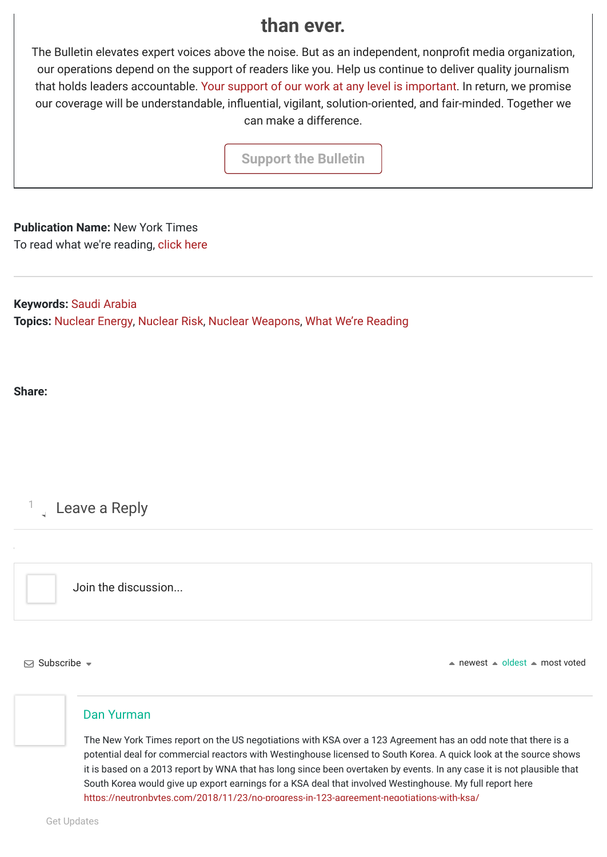# **than ever.**

The Bulletin elevates expert voices above the noise. But as an independent, nonprofit media organization, our operations depend on the support of readers like you. Help us continue to deliver quality journalism that holds leaders accountable. [Your support of our work at any level is important.](https://thebulletin.org/giving-donate/?utm_source=website&utm_medium=article&utm_campaign=giving%20button) In return, we promise our coverage will be understandable, influential, vigilant, solution-oriented, and fair-minded. Together we can make a difference.

**[Support the Bulletin](https://thebulletin.org/giving-donate/?utm_source=website&utm_medium=article&utm_campaign=giving%20button)**

**Publication Name:** New York Times To read what we're reading, [click here](https://www.nytimes.com/2018/11/22/world/middleeast/saudi-arabia-nuclear.html?rref=collection%2Fsectioncollection%2Fworld&action=click&contentCollection=world®ion=rank&module=package&version=highlights&contentPlacement=12&pgtype=sectionfront)

**Keywords:** [Saudi Arabia](https://thebulletin.org/tag/saudi-arabia/) **Topics:** [Nuclear Energy](https://thebulletin.org/nuclear-risk/nuclear-energy/), [Nuclear Risk](https://thebulletin.org/nuclear-risk/), [Nuclear Weapons](https://thebulletin.org/nuclear-risk/nuclear-weapons/), [What We're Reading](https://thebulletin.org/what-were-reading/)

**Share:** 

1 Leave a Reply

Join the discussion...

 $\Box$  Subscribe  $\sim$ 

 $\triangle$  newest  $\triangle$  oldest  $\triangle$  most voted

### [Dan Yurman](https://neutronbytes.com/)

The New York Times report on the US negotiations with KSA over a 123 Agreement has an odd note that there is a potential deal for commercial reactors with Westinghouse licensed to South Korea. A quick look at the source shows it is based on a 2013 report by WNA that has long since been overtaken by events. In any case it is not plausible that South Korea would give up export earnings for a KSA deal that involved Westinghouse. My full report here <https://neutronbytes.com/2018/11/23/no-progress-in-123-agreement-negotiations-with-ksa/>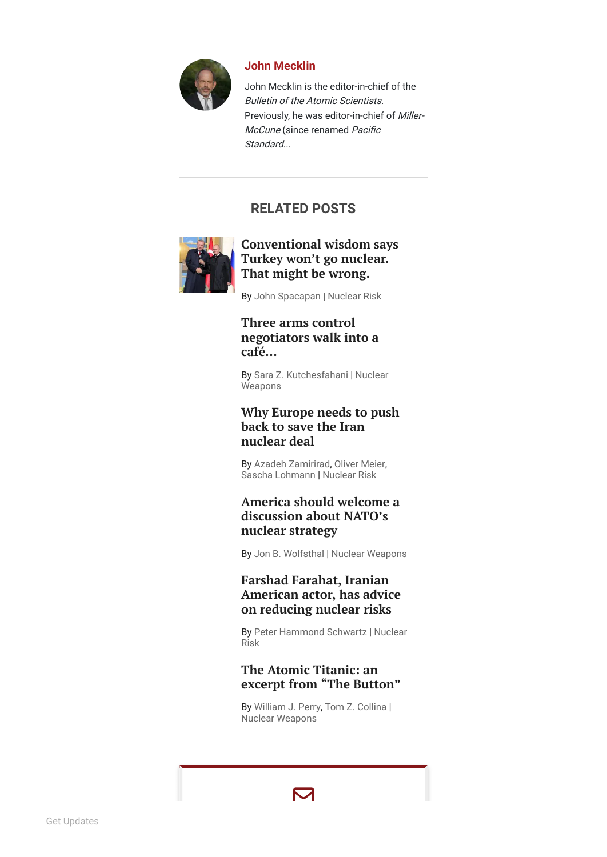

#### **[John Mecklin](https://thebulletin.org/biography/john-mecklin/)**

John Mecklin is the editor-in-chief of the Bulletin of the Atomic Scientists. Previously, he was editor-in-chief of Miller-McCune (since renamed Pacific Standard

# **REL ATED POST S**



### Conventional wisdom says Turkey won't go nuclear. That might [be wr](https://thebulletin.org/2020/07/conventional-wisdom-says-turkey-wont-go-nuclear-that-might-be-wrong/)ong.

By [John Spacapan](https://thebulletin.org/biography/john-spacapan/) | [Nuclear Risk](https://thebulletin.org/nuclear-risk/)

### **Three arms control [negotiators](https://thebulletin.org/2020/07/three-arms-control-negotiators-walk-into-a-cafe/) walk into a café…**

By [Sara Z. Kutchesfahani | Nuclear](https://thebulletin.org/nuclear-risk/nuclear-weapons/) **Weapons** 

### **Why [Europe](https://thebulletin.org/2020/06/why-europe-needs-to-push-back-to-save-the-iran-nuclear-deal/) needs to pus h back to save the Iran nuc l e a r d e a l**

By [Azadeh Zamirirad](https://thebulletin.org/biography/azadeh-zamirirad/), [Oliver Meier](https://thebulletin.org/biography/oliver-meier/), [Sascha Lohmann](https://thebulletin.org/biography/sascha-lohmann/) | [Nuclear Risk](https://thebulletin.org/nuclear-risk/)

### **[America](https://thebulletin.org/2020/06/america-should-welcome-a-discussion-about-natos-nuclear-strategy/) should welcom e a discussion about NATO's nuc l e a r s t r a t e gy**

By [Jon B. Wolfsthal](https://thebulletin.org/biography/jon-b-wolfsthal/) | [Nuclear Weapons](https://thebulletin.org/nuclear-risk/nuclear-weapons/)

### **Farshad Farahat, Iranian [American](https://thebulletin.org/2020/06/farshad-farahat-iranian-american-actor-has-advice-on-reducing-nuclear-risks/) actor, has advice on reducing nuclear risks**

By [Peter Hammond Schwartz](https://thebulletin.org/biography/peter-hammond-schwartz/) [| Nuclear](https://thebulletin.org/nuclear-risk/) Risk

## [The](https://thebulletin.org/2020/06/the-atomic-titanic-an-excerpt-from-the-button/) Atomic Titanic: an excerpt from "The Button"

By [William J. Perr](https://thebulletin.org/biography/william-j-perry-2/) y, [Tom Z. Collina](https://thebulletin.org/biography/tom-z-collina-2/) | [Nuclear Weapons](https://thebulletin.org/nuclear-risk/nuclear-weapons/)

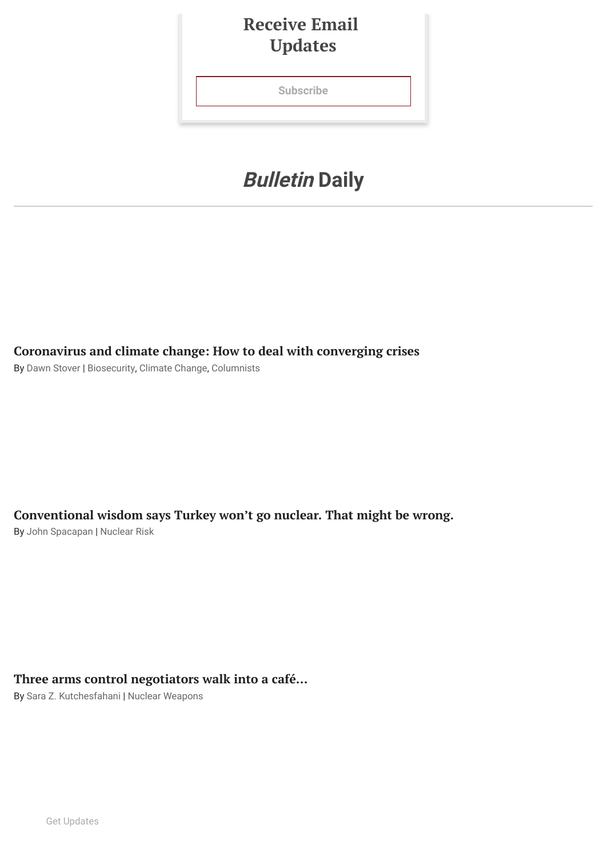# **Receive Email Updates**

**[Subscribe](javascript:void(0))**

# **Bulletin Daily**

**[Coronavirus](https://thebulletin.org/2020/07/coronavirus-and-climate-change-how-to-deal-with-converging-crises/) and climate change: How to deal with converging crises**

By [Dawn Stover](https://thebulletin.org/biography/dawn-stover/) | [Biosecurity](https://thebulletin.org/disruptive-technologies/biosecurity/), [Climate Change](https://thebulletin.org/climate-change/), [Columnists](https://thebulletin.org/cat-columnists/)

**[Conventional](https://thebulletin.org/2020/07/conventional-wisdom-says-turkey-wont-go-nuclear-that-might-be-wrong/) wisdom says Turkey won't go nuclear. That might be wrong.**

By [John Spacapan](https://thebulletin.org/biography/john-spacapan/) | [Nuclear Risk](https://thebulletin.org/nuclear-risk/)

# **Three arms control [negotiators](https://thebulletin.org/2020/07/three-arms-control-negotiators-walk-into-a-cafe/) walk into a café…**

By [Sara Z. Kutchesfahani](https://thebulletin.org/biography/sara-z-kutchesfahani/) | [Nuclear Weapons](https://thebulletin.org/nuclear-risk/nuclear-weapons/)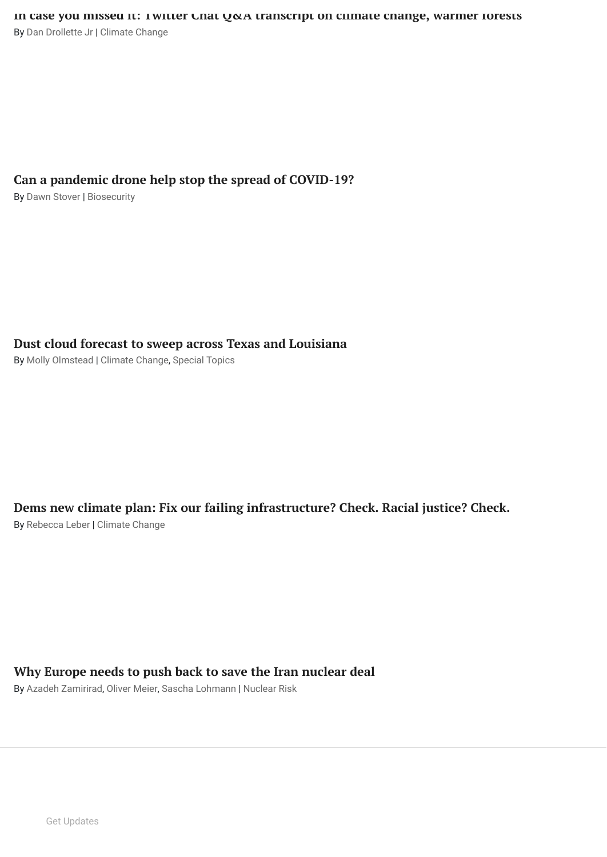### **Can a pandemic drone help stop the spread of [COVID-19?](https://thebulletin.org/2020/07/can-a-pandemic-drone-help-stop-the-spread-of-covid-19/)**

By [Dawn Stover](https://thebulletin.org/biography/dawn-stover/) | [Biosecurity](https://thebulletin.org/disruptive-technologies/biosecurity/)

# **Dust cloud forecast to sweep across Texas and [Louisiana](https://thebulletin.org/2020/07/dust-cloud-forecast-to-sweep-across-texas-and-louisiana/)**

By [Molly Olmstead](https://thebulletin.org/biography/molly-olmstead/) | [Climate Change](https://thebulletin.org/climate-change/), [Special Topics](https://thebulletin.org/special-topics/)

# **Dems new climate plan: Fix our failing [infrastructure?](https://thebulletin.org/2020/07/dems-new-climate-plan-fix-our-failing-infrastructure-check-racial-justice-check/) Check. Racial justice? Check.**

By [Rebecca Leber](https://thebulletin.org/biography/rebecca-leber/) | [Climate Change](https://thebulletin.org/climate-change/)

## **Why Europe needs to push back to save the Iran [nuclear](https://thebulletin.org/2020/06/why-europe-needs-to-push-back-to-save-the-iran-nuclear-deal/) deal**

By [Azadeh Zamirirad,](https://thebulletin.org/biography/azadeh-zamirirad/) [Oliver Meier,](https://thebulletin.org/biography/oliver-meier/) [Sascha Lohmann](https://thebulletin.org/biography/sascha-lohmann/) | [Nuclear Risk](https://thebulletin.org/nuclear-risk/)